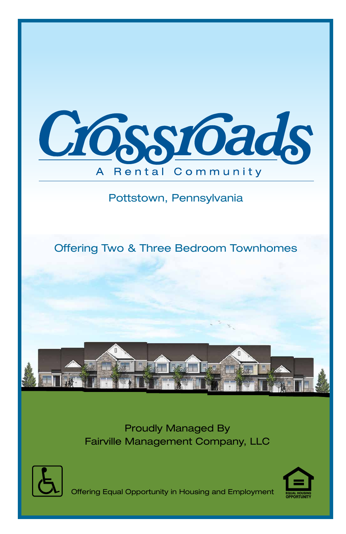

## Pottstown, Pennsylvania

Offering Two & Three Bedroom Townhomes



Proudly Managed By Fairville Management Company, LLC





Offering Equal Opportunity in Housing and Employment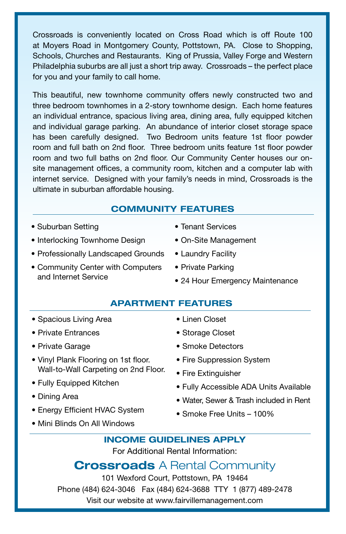Crossroads is conveniently located on Cross Road which is off Route 100 at Moyers Road in Montgomery County, Pottstown, PA. Close to Shopping, Schools, Churches and Restaurants. King of Prussia, Valley Forge and Western Philadelphia suburbs are all just a short trip away. Crossroads – the perfect place for you and your family to call home.

This beautiful, new townhome community offers newly constructed two and three bedroom townhomes in a 2-story townhome design. Each home features an individual entrance, spacious living area, dining area, fully equipped kitchen and individual garage parking. An abundance of interior closet storage space has been carefully designed. Two Bedroom units feature 1st floor powder room and full bath on 2nd floor. Three bedroom units feature 1st floor powder room and two full baths on 2nd floor. Our Community Center houses our onsite management offices, a community room, kitchen and a computer lab with internet service. Designed with your family's needs in mind, Crossroads is the ultimate in suburban affordable housing.

### **COMMUNITY FEATURES**

- Suburban Setting
- Interlocking Townhome Design
- Professionally Landscaped Grounds Laundry Facility
- Community Center with Computers Private Parking and Internet Service
- Tenant Services
- On-Site Management
- 
- - 24 Hour Emergency Maintenance

### **APARTMENT FEATURES**

- Spacious Living Area
- Private Entrances
- Private Garage
- Vinyl Plank Flooring on 1st floor. Wall-to-Wall Carpeting on 2nd Floor.
- Fully Equipped Kitchen
- Dining Area
- Energy Efficient HVAC System
- Mini Blinds On All Windows
- Linen Closet
- Smoke Detectors
- Fire Suppression System
- Fully Accessible ADA Units Available
- Water, Sewer & Trash included in Rent
- Smoke Free Units 100%
- **INCOME GUIDELINES APPLY**

For Additional Rental Information:

## **Crossroads** A Rental Community

101 Wexford Court, Pottstown, PA 19464 Phone (484) 624-3046 Fax (484) 624-3688 TTY 1 (877) 489-2478 Visit our website at www.fairvillemanagement.com

- Storage Closet
- -
	-
	- Fire Extinguisher
	-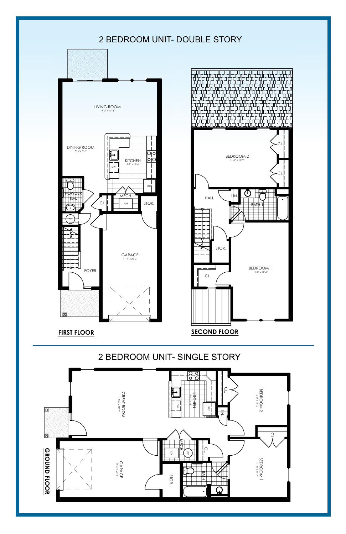

**FIRST FLOOR SECOND FLOOR**





2 I. E D R O O M U  $\overline{\phantom{a}}$ SIN

CL.